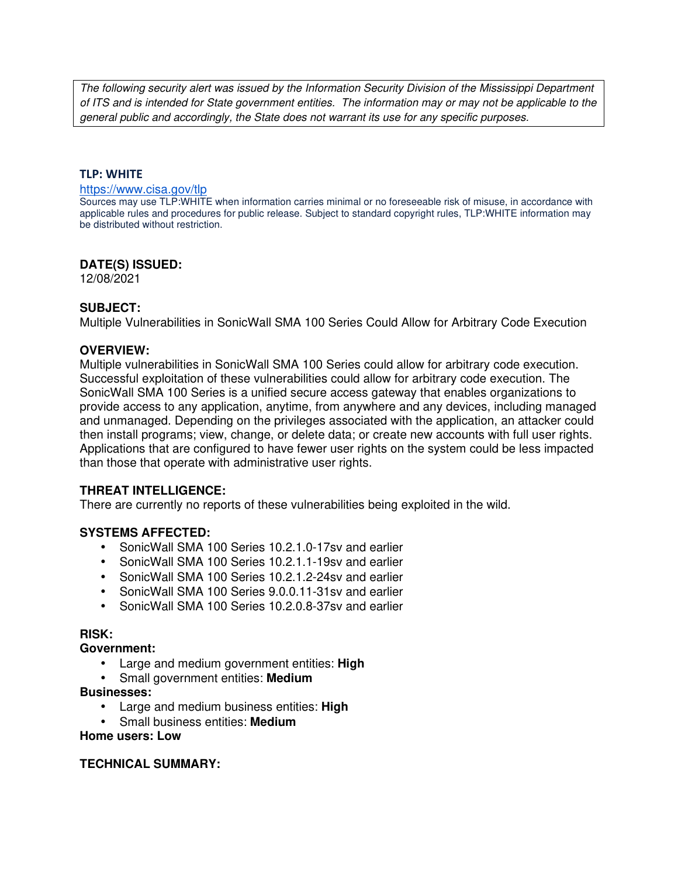The following security alert was issued by the Information Security Division of the Mississippi Department of ITS and is intended for State government entities. The information may or may not be applicable to the general public and accordingly, the State does not warrant its use for any specific purposes.

### **TLP: WHITE**

#### https://www.cisa.gov/tlp

Sources may use TLP:WHITE when information carries minimal or no foreseeable risk of misuse, in accordance with applicable rules and procedures for public release. Subject to standard copyright rules, TLP:WHITE information may be distributed without restriction.

# **DATE(S) ISSUED:**

12/08/2021

# **SUBJECT:**

Multiple Vulnerabilities in SonicWall SMA 100 Series Could Allow for Arbitrary Code Execution

### **OVERVIEW:**

Multiple vulnerabilities in SonicWall SMA 100 Series could allow for arbitrary code execution. Successful exploitation of these vulnerabilities could allow for arbitrary code execution. The SonicWall SMA 100 Series is a unified secure access gateway that enables organizations to provide access to any application, anytime, from anywhere and any devices, including managed and unmanaged. Depending on the privileges associated with the application, an attacker could then install programs; view, change, or delete data; or create new accounts with full user rights. Applications that are configured to have fewer user rights on the system could be less impacted than those that operate with administrative user rights.

# **THREAT INTELLIGENCE:**

There are currently no reports of these vulnerabilities being exploited in the wild.

# **SYSTEMS AFFECTED:**

- SonicWall SMA 100 Series 10.2.1.0-17sv and earlier
- SonicWall SMA 100 Series 10.2.1.1-19sv and earlier
- SonicWall SMA 100 Series 10.2.1.2-24sv and earlier
- SonicWall SMA 100 Series 9.0.0.11-31sv and earlier
- SonicWall SMA 100 Series 10.2.0.8-37sv and earlier

#### **RISK:**

### **Government:**

- Large and medium government entities: **High**
- Small government entities: **Medium**

#### **Businesses:**

- Large and medium business entities: **High**
- Small business entities: **Medium**

### **Home users: Low**

# **TECHNICAL SUMMARY:**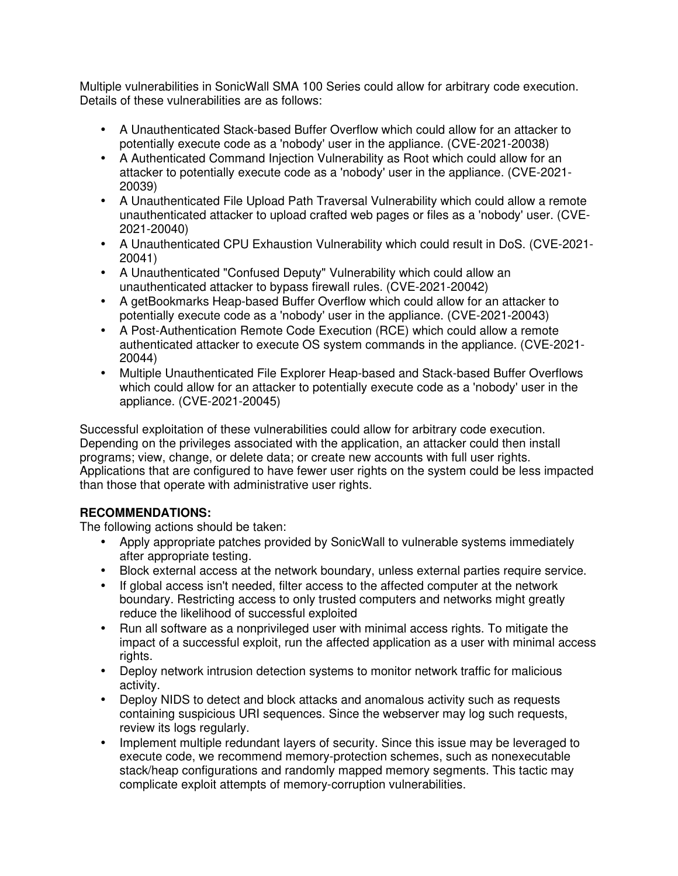Multiple vulnerabilities in SonicWall SMA 100 Series could allow for arbitrary code execution. Details of these vulnerabilities are as follows:

- A Unauthenticated Stack-based Buffer Overflow which could allow for an attacker to potentially execute code as a 'nobody' user in the appliance. (CVE-2021-20038)
- A Authenticated Command Injection Vulnerability as Root which could allow for an attacker to potentially execute code as a 'nobody' user in the appliance. (CVE-2021- 20039)
- A Unauthenticated File Upload Path Traversal Vulnerability which could allow a remote unauthenticated attacker to upload crafted web pages or files as a 'nobody' user. (CVE-2021-20040)
- A Unauthenticated CPU Exhaustion Vulnerability which could result in DoS. (CVE-2021- 20041)
- A Unauthenticated "Confused Deputy" Vulnerability which could allow an unauthenticated attacker to bypass firewall rules. (CVE-2021-20042)
- A getBookmarks Heap-based Buffer Overflow which could allow for an attacker to potentially execute code as a 'nobody' user in the appliance. (CVE-2021-20043)
- A Post-Authentication Remote Code Execution (RCE) which could allow a remote authenticated attacker to execute OS system commands in the appliance. (CVE-2021- 20044)
- Multiple Unauthenticated File Explorer Heap-based and Stack-based Buffer Overflows which could allow for an attacker to potentially execute code as a 'nobody' user in the appliance. (CVE-2021-20045)

Successful exploitation of these vulnerabilities could allow for arbitrary code execution. Depending on the privileges associated with the application, an attacker could then install programs; view, change, or delete data; or create new accounts with full user rights. Applications that are configured to have fewer user rights on the system could be less impacted than those that operate with administrative user rights.

# **RECOMMENDATIONS:**

The following actions should be taken:

- Apply appropriate patches provided by SonicWall to vulnerable systems immediately after appropriate testing.
- Block external access at the network boundary, unless external parties require service.
- If global access isn't needed, filter access to the affected computer at the network boundary. Restricting access to only trusted computers and networks might greatly reduce the likelihood of successful exploited
- Run all software as a nonprivileged user with minimal access rights. To mitigate the impact of a successful exploit, run the affected application as a user with minimal access rights.
- Deploy network intrusion detection systems to monitor network traffic for malicious activity.
- Deploy NIDS to detect and block attacks and anomalous activity such as requests containing suspicious URI sequences. Since the webserver may log such requests, review its logs regularly.
- Implement multiple redundant layers of security. Since this issue may be leveraged to execute code, we recommend memory-protection schemes, such as nonexecutable stack/heap configurations and randomly mapped memory segments. This tactic may complicate exploit attempts of memory-corruption vulnerabilities.